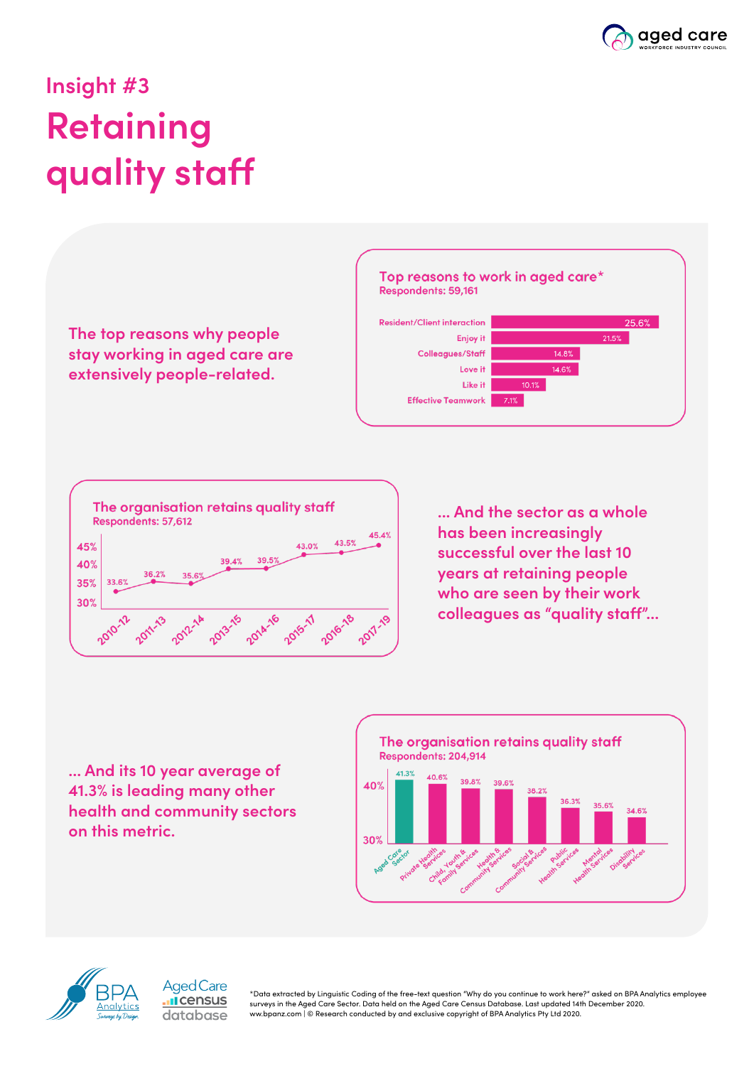

## **Insight #3 Retaining quality staff**







**... And the sector as a whole has been increasingly successful over the last 10 years at retaining people who are seen by their work colleagues as "quality staff"...**

**... And its 10 year average of 41.3% is leading many other health and community sectors on this metric.**

> **Aged Care I**census database





\*Data extracted by Linguistic Coding of the free-text question "Why do you continue to work here?" asked on BPA Analytics employee surveys in the Aged Care Sector. Data held on the Aged Care Census Database. Last updated 14th December 2020. ww.bpanz.com | © Research conducted by and exclusive copyright of BPA Analytics Pty Ltd 2020.